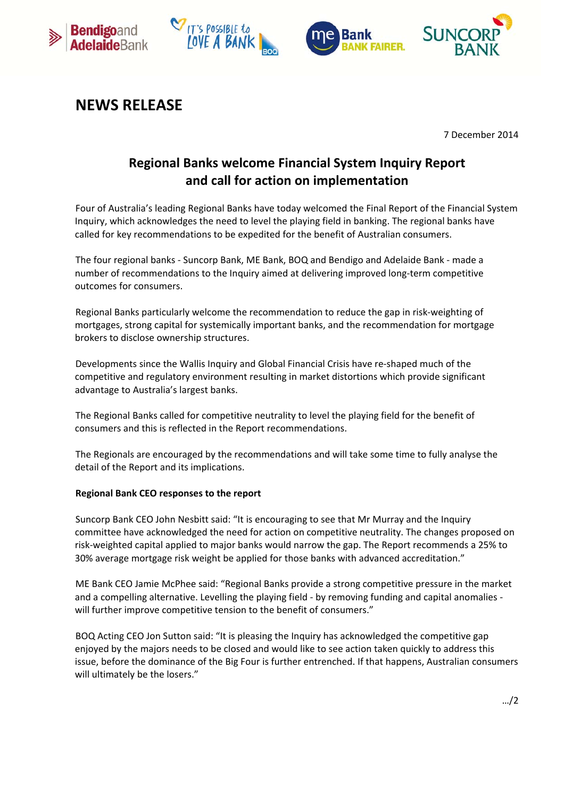







## **NEWS RELEASE**

7 December 2014

## **Regional Banks welcome Financial System Inquiry Report and call for action on implementation**

Four of Australia's leading Regional Banks have today welcomed the Final Report of the Financial System Inquiry, which acknowledges the need to level the playing field in banking. The regional banks have called for key recommendations to be expedited for the benefit of Australian consumers.

The four regional banks ‐ Suncorp Bank, ME Bank, BOQ and Bendigo and Adelaide Bank ‐ made a number of recommendations to the Inquiry aimed at delivering improved long-term competitive outcomes for consumers.

Regional Banks particularly welcome the recommendation to reduce the gap in risk‐weighting of mortgages, strong capital for systemically important banks, and the recommendation for mortgage brokers to disclose ownership structures.

Developments since the Wallis Inquiry and Global Financial Crisis have re-shaped much of the competitive and regulatory environment resulting in market distortions which provide significant advantage to Australia's largest banks.

The Regional Banks called for competitive neutrality to level the playing field for the benefit of consumers and this is reflected in the Report recommendations.

The Regionals are encouraged by the recommendations and will take some time to fully analyse the detail of the Report and its implications.

## **Regional Bank CEO responses to the report**

Suncorp Bank CEO John Nesbitt said: "It is encouraging to see that Mr Murray and the Inquiry committee have acknowledged the need for action on competitive neutrality. The changes proposed on risk‐weighted capital applied to major banks would narrow the gap. The Report recommends a 25% to 30% average mortgage risk weight be applied for those banks with advanced accreditation."

ME Bank CEO Jamie McPhee said: "Regional Banks provide a strong competitive pressure in the market and a compelling alternative. Levelling the playing field ‐ by removing funding and capital anomalies ‐ will further improve competitive tension to the benefit of consumers."

BOQ Acting CEO Jon Sutton said: "It is pleasing the Inquiry has acknowledged the competitive gap enjoyed by the majors needs to be closed and would like to see action taken quickly to address this issue, before the dominance of the Big Four is further entrenched. If that happens, Australian consumers will ultimately be the losers."